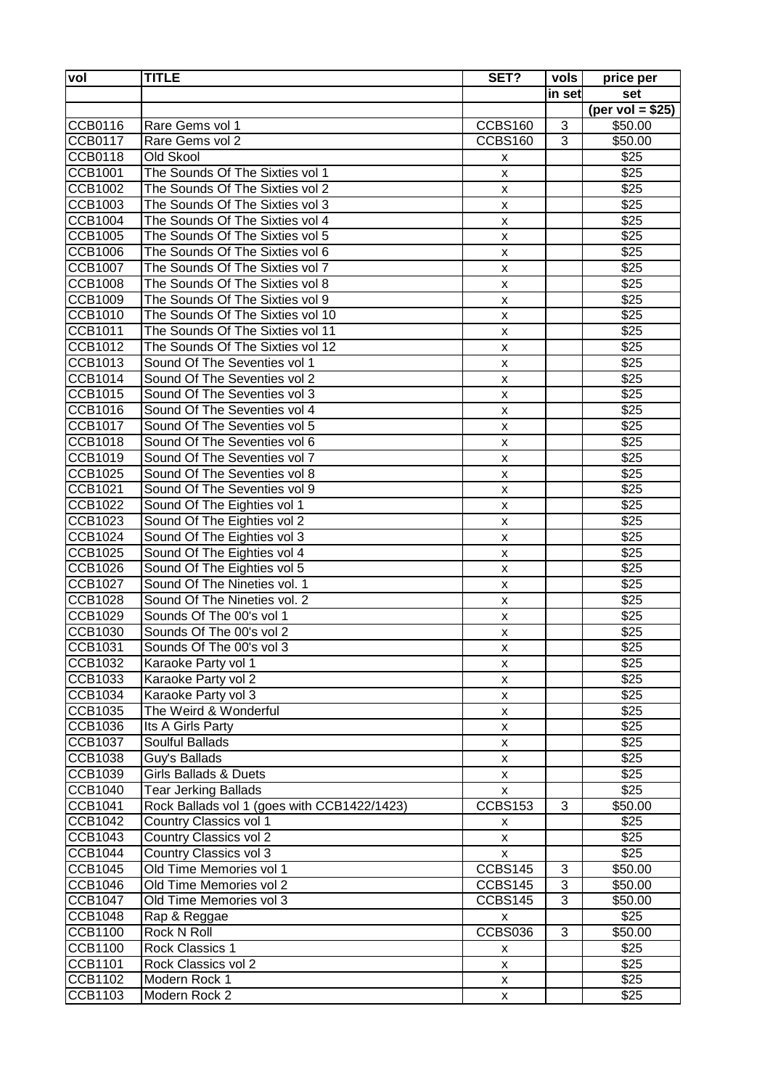| <b>vol</b>     | <b>TITLE</b>                                | SET?               | vols       | price per          |
|----------------|---------------------------------------------|--------------------|------------|--------------------|
|                |                                             |                    | in set     | set                |
|                |                                             |                    |            | (per vol = $$25$ ) |
| <b>CCB0116</b> | Rare Gems vol 1                             | CCBS160            | $\sqrt{3}$ | \$50.00            |
| <b>CCB0117</b> | Rare Gems vol 2                             | CCBS160            | 3          | \$50.00            |
| <b>CCB0118</b> | Old Skool                                   | X                  |            | \$25               |
| CCB1001        | The Sounds Of The Sixties vol 1             | $\pmb{\mathsf{x}}$ |            | $\sqrt{$25}$       |
| <b>CCB1002</b> | The Sounds Of The Sixties vol 2             | $\pmb{\mathsf{x}}$ |            | \$25               |
| <b>CCB1003</b> | The Sounds Of The Sixties vol 3             | X                  |            | \$25               |
| <b>CCB1004</b> | The Sounds Of The Sixties vol 4             | $\pmb{\mathsf{x}}$ |            | \$25               |
| <b>CCB1005</b> | The Sounds Of The Sixties vol 5             | x                  |            | \$25               |
| <b>CCB1006</b> | The Sounds Of The Sixties vol 6             | $\pmb{\mathsf{x}}$ |            | \$25               |
| <b>CCB1007</b> | The Sounds Of The Sixties vol 7             | x                  |            | \$25               |
| <b>CCB1008</b> | The Sounds Of The Sixties vol 8             | X                  |            | \$25               |
| <b>CCB1009</b> | The Sounds Of The Sixties vol 9             | $\pmb{\mathsf{x}}$ |            | $\overline{$}25$   |
| CCB1010        | The Sounds Of The Sixties vol 10            | x                  |            | \$25               |
| CCB1011        | The Sounds Of The Sixties vol 11            | X                  |            | \$25               |
| <b>CCB1012</b> | The Sounds Of The Sixties vol 12            | $\pmb{\mathsf{x}}$ |            | \$25               |
| CCB1013        | Sound Of The Seventies vol 1                | $\pmb{\mathsf{x}}$ |            | \$25               |
| <b>CCB1014</b> | Sound Of The Seventies vol 2                | $\pmb{\mathsf{X}}$ |            | \$25               |
| <b>CCB1015</b> | Sound Of The Seventies vol 3                | $\pmb{\mathsf{X}}$ |            | \$25               |
| <b>CCB1016</b> | Sound Of The Seventies vol 4                | $\pmb{\times}$     |            | \$25               |
| <b>CCB1017</b> | Sound Of The Seventies vol 5                | $\pmb{\mathsf{X}}$ |            | \$25               |
| <b>CCB1018</b> | Sound Of The Seventies vol 6                | $\pmb{\mathsf{x}}$ |            | \$25               |
| <b>CCB1019</b> | Sound Of The Seventies vol 7                | $\pmb{\mathsf{X}}$ |            | \$25               |
| CCB1025        | Sound Of The Seventies vol 8                | $\pmb{\mathsf{x}}$ |            | \$25               |
| CCB1021        | Sound Of The Seventies vol 9                | $\pmb{\mathsf{X}}$ |            | $\sqrt{$25}$       |
| <b>CCB1022</b> | Sound Of The Eighties vol 1                 | X                  |            | \$25               |
| CCB1023        | Sound Of The Eighties vol 2                 | X                  |            | \$25               |
| <b>CCB1024</b> | Sound Of The Eighties vol 3                 | $\pmb{\mathsf{x}}$ |            | \$25               |
| CCB1025        | Sound Of The Eighties vol 4                 | $\pmb{\mathsf{x}}$ |            | $\sqrt{$25}$       |
| <b>CCB1026</b> | Sound Of The Eighties vol 5                 | $\pmb{\mathsf{x}}$ |            | \$25               |
| <b>CCB1027</b> | Sound Of The Nineties vol. 1                | $\pmb{\mathsf{x}}$ |            | \$25               |
| <b>CCB1028</b> | Sound Of The Nineties vol. 2                | X                  |            | \$25               |
| CCB1029        | Sounds Of The 00's vol 1                    | X                  |            | \$25               |
| <b>CCB1030</b> | Sounds Of The 00's vol 2                    | $\pmb{\mathsf{x}}$ |            | \$25               |
| CCB1031        | Sounds Of The 00's vol 3                    | X                  |            | \$25               |
| CCB1032        | Karaoke Party vol 1                         | x                  |            | \$25               |
| CCB1033        | Karaoke Party vol 2                         | x                  |            | \$25               |
| <b>CCB1034</b> | Karaoke Party vol 3                         | x                  |            | \$25               |
| <b>CCB1035</b> | The Weird & Wonderful                       | X                  |            | \$25               |
| <b>CCB1036</b> | Its A Girls Party                           | X                  |            | \$25               |
| <b>CCB1037</b> | Soulful Ballads                             | X                  |            | \$25               |
| <b>CCB1038</b> | Guy's Ballads                               | X                  |            | \$25               |
| <b>CCB1039</b> | Girls Ballads & Duets                       | X                  |            | \$25               |
| <b>CCB1040</b> | <b>Tear Jerking Ballads</b>                 |                    |            | \$25               |
| <b>CCB1041</b> | Rock Ballads vol 1 (goes with CCB1422/1423) | x<br>CCBS153       |            | \$50.00            |
| <b>CCB1042</b> |                                             |                    | 3          | \$25               |
|                | Country Classics vol 1                      | x                  |            |                    |
| <b>CCB1043</b> | Country Classics vol 2                      | x                  |            | \$25               |
| <b>CCB1044</b> | Country Classics vol 3                      | x                  |            | \$25               |
| <b>CCB1045</b> | Old Time Memories vol 1                     | CCBS145            | 3          | \$50.00            |
| <b>CCB1046</b> | Old Time Memories vol 2                     | CCBS145            | 3          | \$50.00            |
| <b>CCB1047</b> | Old Time Memories vol 3                     | CCBS145            | $\sqrt{3}$ | \$50.00            |
| <b>CCB1048</b> | Rap & Reggae                                | X                  |            | \$25               |
| <b>CCB1100</b> | Rock N Roll                                 | CCBS036            | 3          | \$50.00            |
| <b>CCB1100</b> | Rock Classics 1                             | X                  |            | \$25               |
| CCB1101        | Rock Classics vol 2                         | X                  |            | \$25               |
| CCB1102        | Modern Rock 1                               | X                  |            | \$25               |
| CCB1103        | Modern Rock 2                               | X                  |            | \$25               |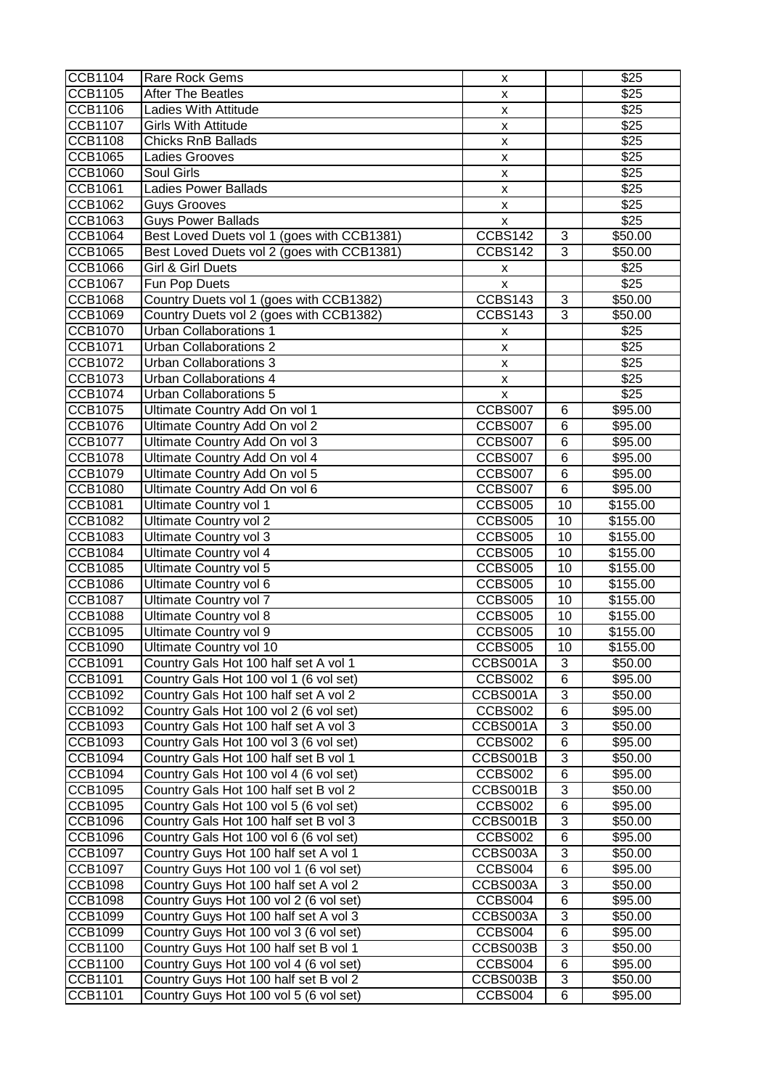| <b>CCB1104</b>                   | Rare Rock Gems                                   | x                       |                 | \$25                 |
|----------------------------------|--------------------------------------------------|-------------------------|-----------------|----------------------|
| <b>CCB1105</b>                   | <b>After The Beatles</b>                         | $\pmb{\mathsf{x}}$      |                 | \$25                 |
| <b>CCB1106</b>                   | Ladies With Attitude                             | $\pmb{\mathsf{X}}$      |                 | \$25                 |
| <b>CCB1107</b>                   | <b>Girls With Attitude</b>                       | $\pmb{\mathsf{x}}$      |                 | $\sqrt{25}$          |
| <b>CCB1108</b>                   | <b>Chicks RnB Ballads</b>                        | $\pmb{\mathsf{X}}$      |                 | \$25                 |
| <b>CCB1065</b>                   | <b>Ladies Grooves</b>                            | $\pmb{\mathsf{x}}$      |                 | \$25                 |
| <b>CCB1060</b>                   | Soul Girls                                       | X                       |                 | $\overline{$}25$     |
| CCB1061                          | <b>Ladies Power Ballads</b>                      | X                       |                 | \$25                 |
| <b>CCB1062</b>                   | <b>Guys Grooves</b>                              | X                       |                 | $\overline{$}25$     |
| CCB1063                          | <b>Guys Power Ballads</b>                        | X                       |                 | $\sqrt{$25}$         |
| CCB1064                          | Best Loved Duets vol 1 (goes with CCB1381)       | CCBS142                 | 3               | \$50.00              |
| <b>CCB1065</b>                   | Best Loved Duets vol 2 (goes with CCB1381)       | CCBS142                 | 3               | \$50.00              |
| <b>CCB1066</b>                   | Girl & Girl Duets                                | x                       |                 | \$25                 |
| <b>CCB1067</b>                   | Fun Pop Duets                                    | X                       |                 | \$25                 |
| <b>CCB1068</b>                   | Country Duets vol 1 (goes with CCB1382)          | CCBS143                 | 3               | \$50.00              |
| <b>CCB1069</b>                   | Country Duets vol 2 (goes with CCB1382)          | CCBS143                 | $\overline{3}$  | \$50.00              |
| <b>CCB1070</b>                   | <b>Urban Collaborations 1</b>                    |                         |                 | \$25                 |
| <b>CCB1071</b>                   | <b>Urban Collaborations 2</b>                    | X<br>$\pmb{\mathsf{x}}$ |                 | \$25                 |
| <b>CCB1072</b>                   | <b>Urban Collaborations 3</b>                    |                         |                 | \$25                 |
| CCB1073                          | <b>Urban Collaborations 4</b>                    | x                       |                 | $\overline{$}25$     |
| <b>CCB1074</b>                   | <b>Urban Collaborations 5</b>                    | X<br>$\pmb{\times}$     |                 | $\overline{$25}$     |
| <b>CCB1075</b>                   | Ultimate Country Add On vol 1                    | <b>CCBS007</b>          | 6               | \$95.00              |
| <b>CCB1076</b>                   | Ultimate Country Add On vol 2                    | CCBS007                 | 6               | \$95.00              |
| <b>CCB1077</b>                   | Ultimate Country Add On vol 3                    | CCBS007                 | $\overline{6}$  | \$95.00              |
| <b>CCB1078</b>                   | Ultimate Country Add On vol 4                    | CCBS007                 | 6               | \$95.00              |
| <b>CCB1079</b>                   | Ultimate Country Add On vol 5                    | CCBS007                 | 6               | \$95.00              |
| <b>CCB1080</b>                   | Ultimate Country Add On vol 6                    | CCBS007                 | $\overline{6}$  | \$95.00              |
| CCB1081                          |                                                  | CCBS005                 | 10              | \$155.00             |
|                                  | Ultimate Country vol 1                           |                         | 10              |                      |
| <b>CCB1082</b><br><b>CCB1083</b> | Ultimate Country vol 2<br>Ultimate Country vol 3 | CCBS005<br>CCBS005      | $\overline{10}$ | \$155.00<br>\$155.00 |
| <b>CCB1084</b>                   | Ultimate Country vol 4                           | CCBS005                 | 10              | $\overline{$}155.00$ |
| <b>CCB1085</b>                   | Ultimate Country vol 5                           | CCBS005                 | 10              | \$155.00             |
| <b>CCB1086</b>                   | Ultimate Country vol 6                           | CCBS005                 | 10              | \$155.00             |
| <b>CCB1087</b>                   | Ultimate Country vol 7                           | CCBS005                 | 10              | \$155.00             |
| <b>CCB1088</b>                   | Ultimate Country vol 8                           | CCBS005                 | 10              | $\overline{$}155.00$ |
| <b>CCB1095</b>                   | Ultimate Country vol 9                           | CCBS005                 | 10              | \$155.00             |
| CCB1090                          | Ultimate Country vol 10                          | CCBS005                 | 10              | \$155.00             |
| CCB1091                          | Country Gals Hot 100 half set A vol 1            | CCBS001A                | 3               | \$50.00              |
| <b>CCB1091</b>                   | Country Gals Hot 100 vol 1 (6 vol set)           | CCBS002                 | 6               | \$95.00              |
| CCB1092                          | Country Gals Hot 100 half set A vol 2            | CCBS001A                | $\mathbf{3}$    | \$50.00              |
| <b>CCB1092</b>                   | Country Gals Hot 100 vol 2 (6 vol set)           | CCBS002                 | 6               | \$95.00              |
| CCB1093                          | Country Gals Hot 100 half set A vol 3            | CCBS001A                | $\mathbf{3}$    | \$50.00              |
| CCB1093                          | Country Gals Hot 100 vol 3 (6 vol set)           | CCBS002                 | $\,6$           | \$95.00              |
| <b>CCB1094</b>                   | Country Gals Hot 100 half set B vol 1            | CCBS001B                | $\sqrt{3}$      | \$50.00              |
| <b>CCB1094</b>                   | Country Gals Hot 100 vol 4 (6 vol set)           | CCBS002                 | $\overline{6}$  | \$95.00              |
| <b>CCB1095</b>                   | Country Gals Hot 100 half set B vol 2            | CCBS001B                | 3               | \$50.00              |
| <b>CCB1095</b>                   | Country Gals Hot 100 vol 5 (6 vol set)           | CCBS002                 | 6               | \$95.00              |
| <b>CCB1096</b>                   | Country Gals Hot 100 half set B vol 3            | CCBS001B                | 3               | \$50.00              |
| <b>CCB1096</b>                   | Country Gals Hot 100 vol 6 (6 vol set)           | CCBS002                 | 6               | \$95.00              |
| <b>CCB1097</b>                   | Country Guys Hot 100 half set A vol 1            | CCBS003A                | 3               | \$50.00              |
| <b>CCB1097</b>                   | Country Guys Hot 100 vol 1 (6 vol set)           | CCBS004                 | $\overline{6}$  | \$95.00              |
| <b>CCB1098</b>                   | Country Guys Hot 100 half set A vol 2            | CCBS003A                | 3               | \$50.00              |
| <b>CCB1098</b>                   | Country Guys Hot 100 vol 2 (6 vol set)           | CCBS004                 | 6               | \$95.00              |
| <b>CCB1099</b>                   | Country Guys Hot 100 half set A vol 3            | CCBS003A                | 3               | \$50.00              |
| <b>CCB1099</b>                   | Country Guys Hot 100 vol 3 (6 vol set)           | CCBS004                 | 6               | \$95.00              |
| CCB1100                          | Country Guys Hot 100 half set B vol 1            | CCBS003B                | 3               | \$50.00              |
| <b>CCB1100</b>                   | Country Guys Hot 100 vol 4 (6 vol set)           | CCBS004                 | 6               | \$95.00              |
| CCB1101                          | Country Guys Hot 100 half set B vol 2            | CCBS003B                | 3               | \$50.00              |
| CCB1101                          | Country Guys Hot 100 vol 5 (6 vol set)           | CCBS004                 | 6               | \$95.00              |
|                                  |                                                  |                         |                 |                      |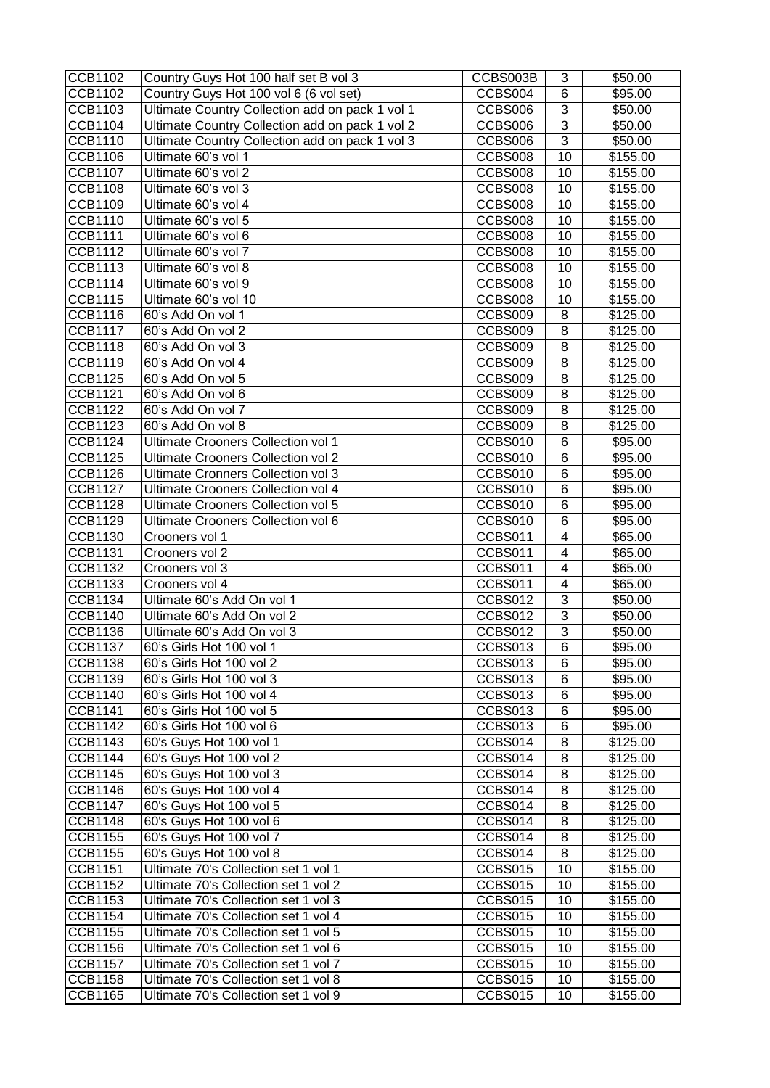| CCB1102             | Country Guys Hot 100 half set B vol 3           | CCBS003B       | 3                       | \$50.00          |
|---------------------|-------------------------------------------------|----------------|-------------------------|------------------|
| <b>CCB1102</b>      | Country Guys Hot 100 vol 6 (6 vol set)          | CCBS004        | 6                       | \$95.00          |
| <b>CCB1103</b>      | Ultimate Country Collection add on pack 1 vol 1 | CCBS006        | $\overline{3}$          | \$50.00          |
| <b>CCB1104</b>      | Ultimate Country Collection add on pack 1 vol 2 | CCBS006        | $\overline{3}$          | \$50.00          |
| <b>CCB1110</b>      | Ultimate Country Collection add on pack 1 vol 3 | CCBS006        | $\overline{3}$          | \$50.00          |
| <b>CCB1106</b>      | Ultimate 60's vol 1                             | CCBS008        | 10                      | \$155.00         |
| <b>CCB1107</b>      | Ultimate 60's vol 2                             | CCBS008        | 10                      | \$155.00         |
| <b>CCB1108</b>      | Ultimate 60's vol 3                             | CCBS008        | 10                      | \$155.00         |
| <b>CCB1109</b>      | Ultimate 60's vol 4                             | CCBS008        | 10                      | \$155.00         |
| <b>CCB1110</b>      | Ultimate 60's vol 5                             | CCBS008        | 10                      | \$155.00         |
| <b>CCB1111</b>      | Ultimate 60's vol 6                             | CCBS008        | 10                      | \$155.00         |
| <b>CCB1112</b>      |                                                 |                | 10                      |                  |
|                     | Ultimate 60's vol 7                             | CCBS008        |                         | \$155.00         |
| <b>CCB1113</b>      | Ultimate 60's vol 8                             | CCBS008        | 10                      | \$155.00         |
| CCB <sub>1114</sub> | Ultimate 60's vol 9                             | CCBS008        | 10                      | \$155.00         |
| <b>CCB1115</b>      | Ultimate 60's vol 10                            | CCBS008        | 10                      | \$155.00         |
| <b>CCB1116</b>      | 60's Add On vol 1                               | CCBS009        | 8                       | \$125.00         |
| <b>CCB1117</b>      | 60's Add On vol 2                               | CCBS009        | 8                       | \$125.00         |
| <b>CCB1118</b>      | 60's Add On vol 3                               | CCBS009        | $\overline{8}$          | \$125.00         |
| CCB1119             | 60's Add On vol 4                               | CCBS009        | $\overline{8}$          | \$125.00         |
| <b>CCB1125</b>      | 60's Add On vol 5                               | CCBS009        | $\,8\,$                 | \$125.00         |
| <b>CCB1121</b>      | 60's Add On vol 6                               | CCBS009        | $\overline{8}$          | \$125.00         |
| <b>CCB1122</b>      | 60's Add On vol 7                               | CCBS009        | $\overline{8}$          | \$125.00         |
| <b>CCB1123</b>      | 60's Add On vol 8                               | CCBS009        | 8                       | \$125.00         |
| <b>CCB1124</b>      | Ultimate Crooners Collection vol 1              | CCBS010        | $\overline{6}$          | \$95.00          |
| <b>CCB1125</b>      | Ultimate Crooners Collection vol 2              | CCBS010        | 6                       | \$95.00          |
| <b>CCB1126</b>      | Ultimate Cronners Collection vol 3              | CCBS010        | 6                       | \$95.00          |
| <b>CCB1127</b>      | Ultimate Crooners Collection vol 4              | CCBS010        | $\,6$                   | \$95.00          |
| <b>CCB1128</b>      | Ultimate Crooners Collection vol 5              | CCBS010        | 6                       | \$95.00          |
| <b>CCB1129</b>      | Ultimate Crooners Collection vol 6              | CCBS010        | 6                       | \$95.00          |
| CCB1130             | Crooners vol 1                                  | CCBS011        | $\overline{4}$          | \$65.00          |
| <b>CCB1131</b>      | Crooners vol 2                                  | CCBS011        | 4                       | \$65.00          |
| <b>CCB1132</b>      | Crooners vol 3                                  | CCBS011        | $\overline{\mathbf{4}}$ | \$65.00          |
| <b>CCB1133</b>      | Crooners vol 4                                  | CCBS011        | 4                       | \$65.00          |
| <b>CCB1134</b>      | Ultimate 60's Add On vol 1                      | CCBS012        | 3                       | \$50.00          |
| <b>CCB1140</b>      | Ultimate 60's Add On vol 2                      | CCBS012        | 3                       | \$50.00          |
| <b>CCB1136</b>      | Ultimate 60's Add On vol 3                      | CCBS012        | $\overline{3}$          | \$50.00          |
|                     |                                                 |                |                         |                  |
| CCB1137             | 60's Girls Hot 100 vol 1                        | <b>CCBS013</b> | $\overline{6}$          | \$95.00          |
| <b>CCB1138</b>      | 60's Girls Hot 100 vol 2                        | CCBS013        | 6                       | \$95.00          |
| CCB1139             | 60's Girls Hot 100 vol 3                        | CCBS013        | 6                       | \$95.00          |
| <b>CCB1140</b>      | 60's Girls Hot 100 vol 4                        | CCBS013        | 6                       | \$95.00          |
| <b>CCB1141</b>      | 60's Girls Hot 100 vol 5                        | CCBS013        | 6                       | \$95.00          |
| <b>CCB1142</b>      | 60's Girls Hot 100 vol 6                        | CCBS013        | $\,6$                   | \$95.00          |
| CCB1143             | 60's Guys Hot 100 vol 1                         | CCBS014        | 8                       | \$125.00         |
| <b>CCB1144</b>      | 60's Guys Hot 100 vol 2                         | CCBS014        | 8                       | \$125.00         |
| <b>CCB1145</b>      | 60's Guys Hot 100 vol 3                         | CCBS014        | 8                       | \$125.00         |
| CCB1146             | 60's Guys Hot 100 vol 4                         | CCBS014        | 8                       | \$125.00         |
| <b>CCB1147</b>      | 60's Guys Hot 100 vol 5                         | CCBS014        | 8                       | \$125.00         |
| <b>CCB1148</b>      | 60's Guys Hot 100 vol 6                         | CCBS014        | 8                       | $\sqrt{$125.00}$ |
| <b>CCB1155</b>      | 60's Guys Hot 100 vol 7                         | CCBS014        | 8                       | \$125.00         |
| <b>CCB1155</b>      | 60's Guys Hot 100 vol 8                         | CCBS014        | $\bf 8$                 | \$125.00         |
| CCB1151             | Ultimate 70's Collection set 1 vol 1            | CCBS015        | 10                      | \$155.00         |
| <b>CCB1152</b>      | Ultimate 70's Collection set 1 vol 2            | CCBS015        | 10                      | \$155.00         |
| CCB1153             | Ultimate 70's Collection set 1 vol 3            | CCBS015        | 10                      | \$155.00         |
| <b>CCB1154</b>      | Ultimate 70's Collection set 1 vol 4            | CCBS015        | 10                      | \$155.00         |
| CCB1155             | Ultimate 70's Collection set 1 vol 5            | CCBS015        | 10                      | \$155.00         |
| <b>CCB1156</b>      | Ultimate 70's Collection set 1 vol 6            | CCBS015        | 10                      | \$155.00         |
| CCB1157             | Ultimate 70's Collection set 1 vol 7            | CCBS015        | 10                      | \$155.00         |
| <b>CCB1158</b>      | Ultimate 70's Collection set 1 vol 8            | CCBS015        | 10                      | \$155.00         |
| CCB1165             | Ultimate 70's Collection set 1 vol 9            | CCBS015        | 10                      | \$155.00         |
|                     |                                                 |                |                         |                  |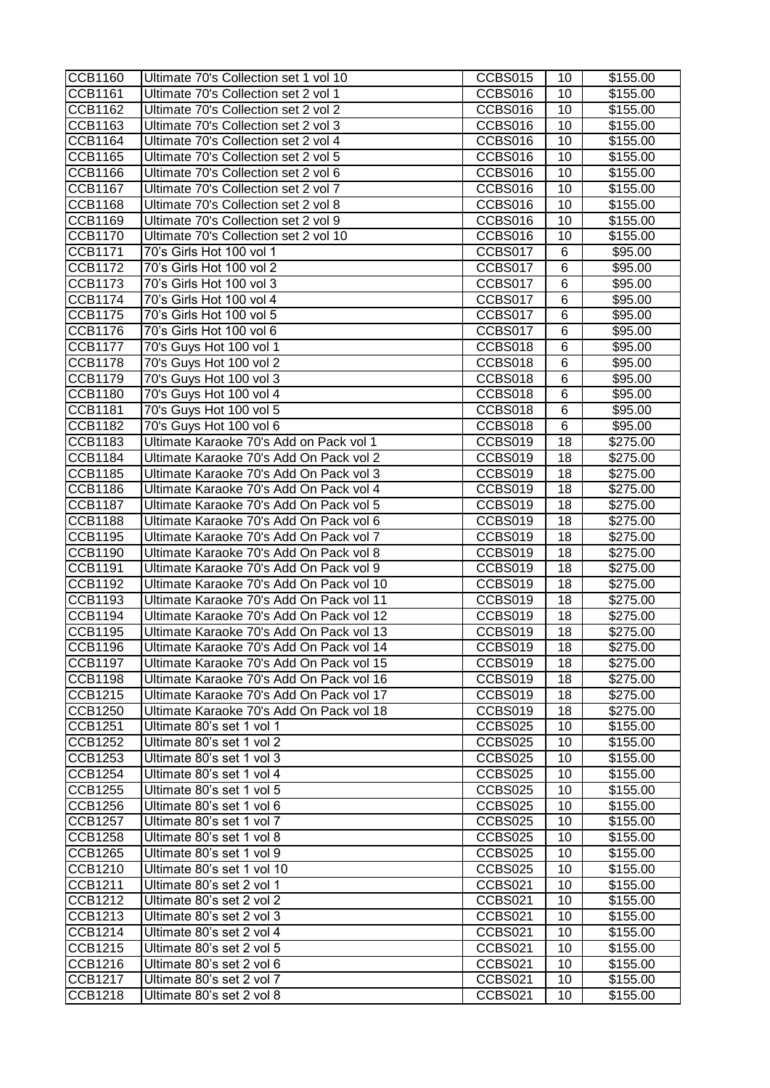| CCB1160        | Ultimate 70's Collection set 1 vol 10    | CCBS015 | 10             | \$155.00 |
|----------------|------------------------------------------|---------|----------------|----------|
| CCB1161        | Ultimate 70's Collection set 2 vol 1     | CCBS016 | 10             | \$155.00 |
| <b>CCB1162</b> | Ultimate 70's Collection set 2 vol 2     | CCBS016 | 10             | \$155.00 |
| CCB1163        | Ultimate 70's Collection set 2 vol 3     | CCBS016 | 10             | \$155.00 |
| <b>CCB1164</b> | Ultimate 70's Collection set 2 vol 4     | CCBS016 | 10             | \$155.00 |
| <b>CCB1165</b> | Ultimate 70's Collection set 2 vol 5     | CCBS016 | 10             | \$155.00 |
| <b>CCB1166</b> | Ultimate 70's Collection set 2 vol 6     | CCBS016 | 10             | \$155.00 |
| <b>CCB1167</b> | Ultimate 70's Collection set 2 vol 7     | CCBS016 | 10             | \$155.00 |
| <b>CCB1168</b> | Ultimate 70's Collection set 2 vol 8     | CCBS016 | 10             | \$155.00 |
| CCB1169        | Ultimate 70's Collection set 2 vol 9     | CCBS016 | 10             | \$155.00 |
| CCB1170        | Ultimate 70's Collection set 2 vol 10    | CCBS016 | 10             | \$155.00 |
| <b>CCB1171</b> | 70's Girls Hot 100 vol 1                 | CCBS017 | 6              | \$95.00  |
| <b>CCB1172</b> | 70's Girls Hot 100 vol 2                 | CCBS017 | 6              | \$95.00  |
| <b>CCB1173</b> | 70's Girls Hot 100 vol 3                 | CCBS017 | 6              | \$95.00  |
| CCB1174        | 70's Girls Hot 100 vol 4                 | CCBS017 | 6              | \$95.00  |
| <b>CCB1175</b> | 70's Girls Hot 100 vol 5                 | CCBS017 | 6              | \$95.00  |
| CCB1176        | 70's Girls Hot 100 vol 6                 | CCBS017 | 6              | \$95.00  |
| <b>CCB1177</b> | 70's Guys Hot 100 vol 1                  | CCBS018 | 6              | \$95.00  |
| CCB1178        | 70's Guys Hot 100 vol 2                  | CCBS018 | 6              | \$95.00  |
| CCB1179        | 70's Guys Hot 100 vol 3                  | CCBS018 | 6              | \$95.00  |
| <b>CCB1180</b> | 70's Guys Hot 100 vol 4                  | CCBS018 | $\overline{6}$ | \$95.00  |
| CCB1181        | 70's Guys Hot 100 vol 5                  | CCBS018 | 6              | \$95.00  |
| <b>CCB1182</b> | 70's Guys Hot 100 vol 6                  | CCBS018 | 6              | \$95.00  |
| CCB1183        | Ultimate Karaoke 70's Add on Pack vol 1  | CCBS019 | 18             | \$275.00 |
| <b>CCB1184</b> | Ultimate Karaoke 70's Add On Pack vol 2  | CCBS019 | 18             | \$275.00 |
| <b>CCB1185</b> | Ultimate Karaoke 70's Add On Pack vol 3  | CCBS019 | 18             | \$275.00 |
| <b>CCB1186</b> | Ultimate Karaoke 70's Add On Pack vol 4  | CCBS019 | 18             | \$275.00 |
| <b>CCB1187</b> | Ultimate Karaoke 70's Add On Pack vol 5  | CCBS019 | 18             | \$275.00 |
| <b>CCB1188</b> | Ultimate Karaoke 70's Add On Pack vol 6  | CCBS019 | 18             | \$275.00 |
| CCB1195        | Ultimate Karaoke 70's Add On Pack vol 7  | CCBS019 | 18             | \$275.00 |
| <b>CCB1190</b> | Ultimate Karaoke 70's Add On Pack vol 8  | CCBS019 | 18             | \$275.00 |
| CCB1191        | Ultimate Karaoke 70's Add On Pack vol 9  | CCBS019 | 18             | \$275.00 |
| CCB1192        | Ultimate Karaoke 70's Add On Pack vol 10 | CCBS019 | 18             | \$275.00 |
| CCB1193        | Ultimate Karaoke 70's Add On Pack vol 11 | CCBS019 | 18             | \$275.00 |
| <b>CCB1194</b> | Ultimate Karaoke 70's Add On Pack vol 12 | CCBS019 | 18             | \$275.00 |
| <b>CCB1195</b> | Ultimate Karaoke 70's Add On Pack vol 13 | CCBS019 | 18             | \$275.00 |
| CCB1196        | Ultimate Karaoke 70's Add On Pack vol 14 | CCBS019 | 18             | \$275.00 |
| <b>CCB1197</b> | Ultimate Karaoke 70's Add On Pack vol 15 | CCBS019 | 18             | \$275.00 |
| <b>CCB1198</b> | Ultimate Karaoke 70's Add On Pack vol 16 | CCBS019 | 18             | \$275.00 |
| <b>CCB1215</b> | Ultimate Karaoke 70's Add On Pack vol 17 | CCBS019 | 18             | \$275.00 |
| <b>CCB1250</b> | Ultimate Karaoke 70's Add On Pack vol 18 | CCBS019 | 18             | \$275.00 |
| <b>CCB1251</b> | Ultimate 80's set 1 vol 1                | CCBS025 | 10             | \$155.00 |
| <b>CCB1252</b> | Ultimate 80's set 1 vol 2                | CCBS025 | 10             | \$155.00 |
| <b>CCB1253</b> | Ultimate 80's set 1 vol 3                | CCBS025 | 10             | \$155.00 |
| <b>CCB1254</b> | Ultimate 80's set 1 vol 4                | CCBS025 | 10             | \$155.00 |
| <b>CCB1255</b> | Ultimate 80's set 1 vol 5                | CCBS025 | 10             | \$155.00 |
| <b>CCB1256</b> | Ultimate 80's set 1 vol 6                | CCBS025 | 10             | \$155.00 |
| <b>CCB1257</b> | Ultimate 80's set 1 vol 7                | CCBS025 | 10             | \$155.00 |
| CCB1258        | Ultimate 80's set 1 vol 8                | CCBS025 | 10             | \$155.00 |
| <b>CCB1265</b> | Ultimate 80's set 1 vol 9                | CCBS025 | 10             | \$155.00 |
| CCB1210        | Ultimate 80's set 1 vol 10               | CCBS025 | 10             | \$155.00 |
| CCB1211        | Ultimate 80's set 2 vol 1                | CCBS021 | 10             | \$155.00 |
| CCB1212        | Ultimate 80's set 2 vol 2                | CCBS021 | 10             | \$155.00 |
| CCB1213        | Ultimate 80's set 2 vol 3                | CCBS021 | 10             | \$155.00 |
| <b>CCB1214</b> | Ultimate 80's set 2 vol 4                | CCBS021 | 10             | \$155.00 |
| CCB1215        | Ultimate 80's set 2 vol 5                | CCBS021 | 10             | \$155.00 |
| CCB1216        | Ultimate 80's set 2 vol 6                | CCBS021 | 10             | \$155.00 |
| CCB1217        | Ultimate 80's set 2 vol 7                | CCBS021 | 10             | \$155.00 |
| CCB1218        | Ultimate 80's set 2 vol 8                | CCBS021 | 10             | \$155.00 |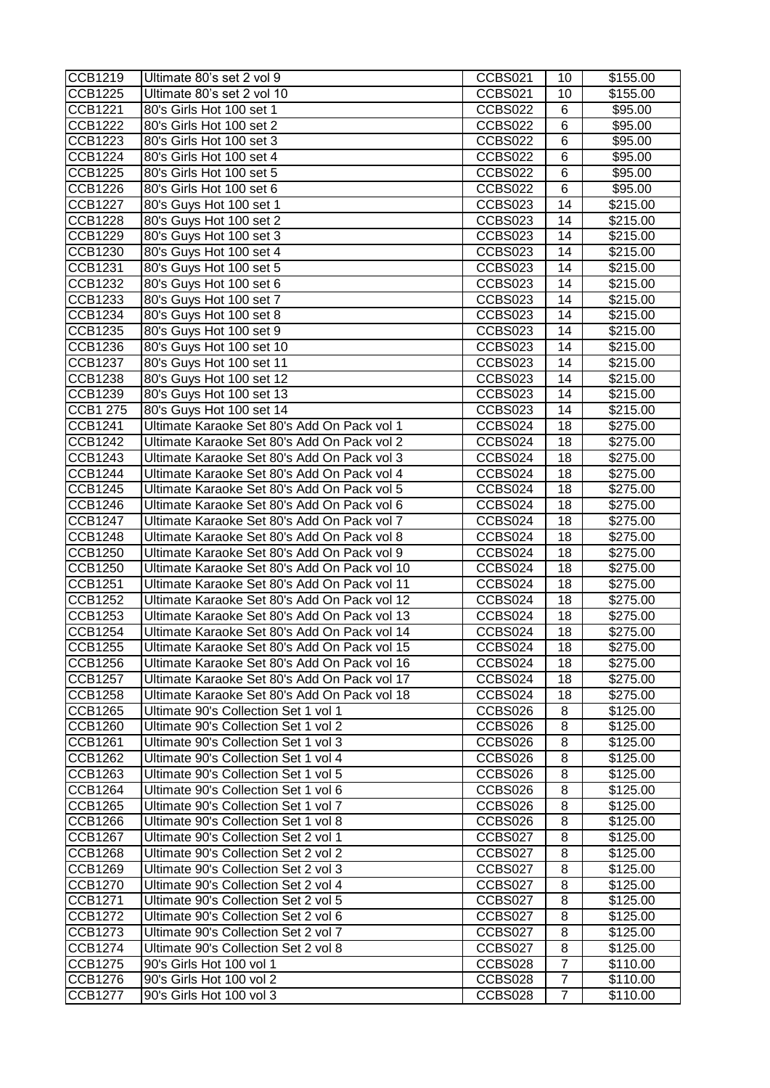| CCB1219        | Ultimate 80's set 2 vol 9                          | CCBS021 | 10              | \$155.00 |
|----------------|----------------------------------------------------|---------|-----------------|----------|
| <b>CCB1225</b> | Ultimate 80's set 2 vol 10                         | CCBS021 | 10              | \$155.00 |
| <b>CCB1221</b> | 80's Girls Hot 100 set 1                           | CCBS022 | $\,6$           | \$95.00  |
| <b>CCB1222</b> | 80's Girls Hot 100 set 2                           | CCBS022 | $6\phantom{1}6$ | \$95.00  |
| CCB1223        | 80's Girls Hot 100 set 3                           | CCBS022 | 6               | \$95.00  |
| <b>CCB1224</b> | 80's Girls Hot 100 set 4                           | CCBS022 | $6\phantom{1}6$ | \$95.00  |
| <b>CCB1225</b> | 80's Girls Hot 100 set 5                           | CCBS022 | $6\phantom{1}6$ | \$95.00  |
| <b>CCB1226</b> | 80's Girls Hot 100 set 6                           | CCBS022 | 6               | \$95.00  |
| <b>CCB1227</b> | 80's Guys Hot 100 set 1                            | CCBS023 | 14              | \$215.00 |
| <b>CCB1228</b> | 80's Guys Hot 100 set 2                            | CCBS023 | 14              | \$215.00 |
| <b>CCB1229</b> |                                                    |         | 14              | \$215.00 |
| CCB1230        | 80's Guys Hot 100 set 3<br>80's Guys Hot 100 set 4 | CCBS023 | 14              |          |
|                |                                                    | CCBS023 |                 | \$215.00 |
| CCB1231        | 80's Guys Hot 100 set 5                            | CCBS023 | 14              | \$215.00 |
| <b>CCB1232</b> | 80's Guys Hot 100 set 6                            | CCBS023 | 14              | \$215.00 |
| CCB1233        | 80's Guys Hot 100 set 7                            | CCBS023 | 14              | \$215.00 |
| <b>CCB1234</b> | 80's Guys Hot 100 set 8                            | CCBS023 | 14              | \$215.00 |
| CCB1235        | 80's Guys Hot 100 set 9                            | CCBS023 | 14              | \$215.00 |
| <b>CCB1236</b> | 80's Guys Hot 100 set 10                           | CCBS023 | 14              | \$215.00 |
| <b>CCB1237</b> | 80's Guys Hot 100 set 11                           | CCBS023 | 14              | \$215.00 |
| <b>CCB1238</b> | 80's Guys Hot 100 set 12                           | CCBS023 | 14              | \$215.00 |
| CCB1239        | 80's Guys Hot 100 set 13                           | CCBS023 | 14              | \$215.00 |
| CCB1 275       | 80's Guys Hot 100 set 14                           | CCBS023 | 14              | \$215.00 |
| <b>CCB1241</b> | Ultimate Karaoke Set 80's Add On Pack vol 1        | CCBS024 | 18              | \$275.00 |
| <b>CCB1242</b> | Ultimate Karaoke Set 80's Add On Pack vol 2        | CCBS024 | 18              | \$275.00 |
| CCB1243        | Ultimate Karaoke Set 80's Add On Pack vol 3        | CCBS024 | 18              | \$275.00 |
| <b>CCB1244</b> | Ultimate Karaoke Set 80's Add On Pack vol 4        | CCBS024 | 18              | \$275.00 |
| <b>CCB1245</b> | Ultimate Karaoke Set 80's Add On Pack vol 5        | CCBS024 | 18              | \$275.00 |
| <b>CCB1246</b> | Ultimate Karaoke Set 80's Add On Pack vol 6        | CCBS024 | 18              | \$275.00 |
| <b>CCB1247</b> | Ultimate Karaoke Set 80's Add On Pack vol 7        | CCBS024 | 18              | \$275.00 |
| <b>CCB1248</b> | Ultimate Karaoke Set 80's Add On Pack vol 8        | CCBS024 | 18              | \$275.00 |
| <b>CCB1250</b> | Ultimate Karaoke Set 80's Add On Pack vol 9        | CCBS024 | 18              | \$275.00 |
| <b>CCB1250</b> | Ultimate Karaoke Set 80's Add On Pack vol 10       | CCBS024 | 18              | \$275.00 |
| <b>CCB1251</b> | Ultimate Karaoke Set 80's Add On Pack vol 11       | CCBS024 | 18              | \$275.00 |
| CCB1252        | Ultimate Karaoke Set 80's Add On Pack vol 12       | CCBS024 | 18              | \$275.00 |
| CCB1253        | Ultimate Karaoke Set 80's Add On Pack vol 13       | CCBS024 | 18              | \$275.00 |
| <b>CCB1254</b> | Ultimate Karaoke Set 80's Add On Pack vol 14       | CCBS024 | 18              | \$275.00 |
| CCB1255        | Ultimate Karaoke Set 80's Add On Pack vol 15       | CCBS024 | $\overline{18}$ | \$275.00 |
|                | Ultimate Karaoke Set 80's Add On Pack vol 16       |         |                 |          |
| <b>CCB1256</b> |                                                    | CCBS024 | 18              | \$275.00 |
| <b>CCB1257</b> | Ultimate Karaoke Set 80's Add On Pack vol 17       | CCBS024 | 18              | \$275.00 |
| <b>CCB1258</b> | Ultimate Karaoke Set 80's Add On Pack vol 18       | CCBS024 | 18              | \$275.00 |
| <b>CCB1265</b> | Ultimate 90's Collection Set 1 vol 1               | CCBS026 | 8               | \$125.00 |
| <b>CCB1260</b> | Ultimate 90's Collection Set 1 vol 2               | CCBS026 | 8               | \$125.00 |
| <b>CCB1261</b> | Ultimate 90's Collection Set 1 vol 3               | CCBS026 | 8               | \$125.00 |
| <b>CCB1262</b> | Ultimate 90's Collection Set 1 vol 4               | CCBS026 | 8               | \$125.00 |
| CCB1263        | Ultimate 90's Collection Set 1 vol 5               | CCBS026 | 8               | \$125.00 |
| <b>CCB1264</b> | Ultimate 90's Collection Set 1 vol 6               | CCBS026 | 8               | \$125.00 |
| <b>CCB1265</b> | Ultimate 90's Collection Set 1 vol 7               | CCBS026 | 8               | \$125.00 |
| <b>CCB1266</b> | Ultimate 90's Collection Set 1 vol 8               | CCBS026 | 8               | \$125.00 |
| <b>CCB1267</b> | Ultimate 90's Collection Set 2 vol 1               | CCBS027 | 8               | \$125.00 |
| <b>CCB1268</b> | Ultimate 90's Collection Set 2 vol 2               | CCBS027 | 8               | \$125.00 |
| <b>CCB1269</b> | Ultimate 90's Collection Set 2 vol 3               | CCBS027 | 8               | \$125.00 |
| <b>CCB1270</b> | Ultimate 90's Collection Set 2 vol 4               | CCBS027 | 8               | \$125.00 |
| <b>CCB1271</b> | Ultimate 90's Collection Set 2 vol 5               | CCBS027 | 8               | \$125.00 |
| <b>CCB1272</b> | Ultimate 90's Collection Set 2 vol 6               | CCBS027 | 8               | \$125.00 |
| CCB1273        | Ultimate 90's Collection Set 2 vol 7               | CCBS027 | 8               | \$125.00 |
| CCB1274        | Ultimate 90's Collection Set 2 vol 8               | CCBS027 | 8               | \$125.00 |
| CCB1275        | 90's Girls Hot 100 vol 1                           | CCBS028 | $\overline{7}$  | \$110.00 |
| <b>CCB1276</b> | 90's Girls Hot 100 vol 2                           | CCBS028 | $\overline{7}$  | \$110.00 |
| <b>CCB1277</b> | 90's Girls Hot 100 vol 3                           | CCBS028 | 7               | \$110.00 |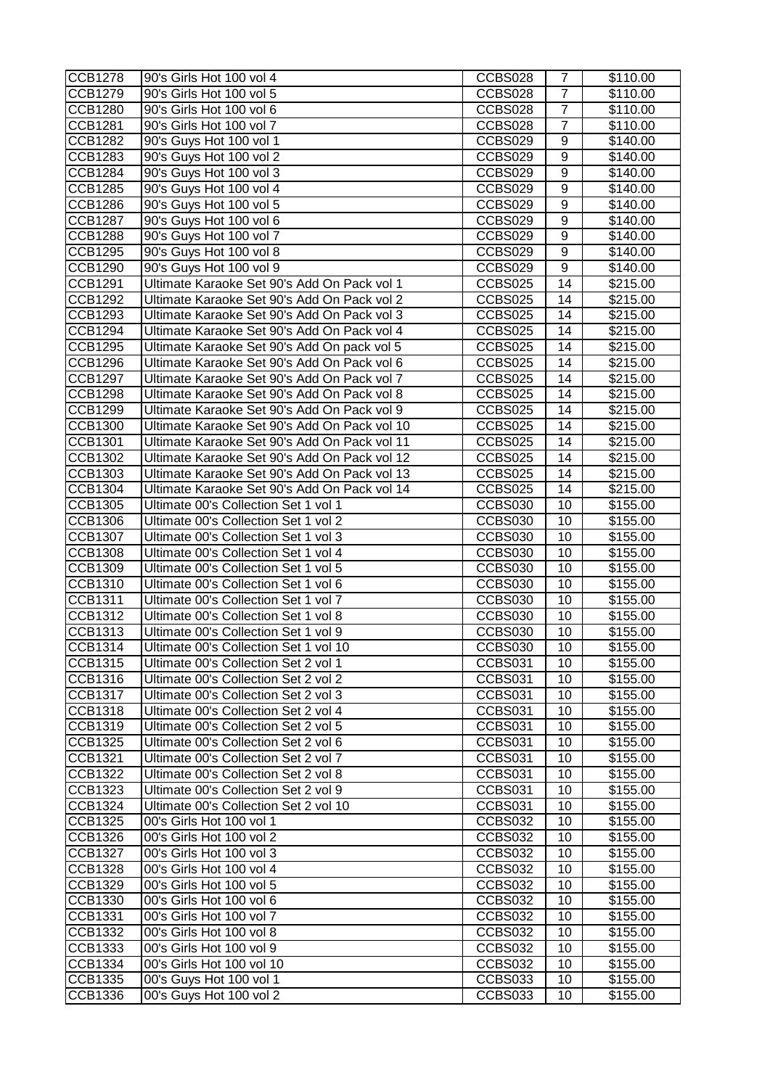| CCB1278        | 90's Girls Hot 100 vol 4                     | CCBS028        | 7                | \$110.00 |
|----------------|----------------------------------------------|----------------|------------------|----------|
| <b>CCB1279</b> | 90's Girls Hot 100 vol 5                     | CCBS028        | $\overline{7}$   | \$110.00 |
| <b>CCB1280</b> | 90's Girls Hot 100 vol 6                     | CCBS028        | $\overline{7}$   | \$110.00 |
| <b>CCB1281</b> | 90's Girls Hot 100 vol 7                     | CCBS028        | $\overline{7}$   | \$110.00 |
| <b>CCB1282</b> | 90's Guys Hot 100 vol 1                      | CCBS029        | 9                | \$140.00 |
| <b>CCB1283</b> | 90's Guys Hot 100 vol 2                      | CCBS029        | 9                | \$140.00 |
| <b>CCB1284</b> | 90's Guys Hot 100 vol 3                      | CCBS029        | 9                | \$140.00 |
| <b>CCB1285</b> | 90's Guys Hot 100 vol 4                      | CCBS029        | 9                | \$140.00 |
| <b>CCB1286</b> | 90's Guys Hot 100 vol 5                      | CCBS029        | $\boldsymbol{9}$ | \$140.00 |
| <b>CCB1287</b> | 90's Guys Hot 100 vol 6                      | CCBS029        | 9                | \$140.00 |
| CCB1288        | 90's Guys Hot 100 vol 7                      | CCBS029        | $\boldsymbol{9}$ | \$140.00 |
| CCB1295        | 90's Guys Hot 100 vol 8                      | CCBS029        | $\boldsymbol{9}$ | \$140.00 |
| <b>CCB1290</b> | 90's Guys Hot 100 vol 9                      | CCBS029        | 9                | \$140.00 |
| CCB1291        | Ultimate Karaoke Set 90's Add On Pack vol 1  | CCBS025        | 14               | \$215.00 |
| <b>CCB1292</b> | Ultimate Karaoke Set 90's Add On Pack vol 2  | CCBS025        | 14               | \$215.00 |
| <b>CCB1293</b> | Ultimate Karaoke Set 90's Add On Pack vol 3  | CCBS025        | 14               | \$215.00 |
| <b>CCB1294</b> | Ultimate Karaoke Set 90's Add On Pack vol 4  | CCBS025        | 14               | \$215.00 |
| <b>CCB1295</b> | Ultimate Karaoke Set 90's Add On pack vol 5  | CCBS025        | 14               | \$215.00 |
| <b>CCB1296</b> | Ultimate Karaoke Set 90's Add On Pack vol 6  | CCBS025        | 14               | \$215.00 |
| <b>CCB1297</b> | Ultimate Karaoke Set 90's Add On Pack vol 7  | CCBS025        | 14               | \$215.00 |
| <b>CCB1298</b> | Ultimate Karaoke Set 90's Add On Pack vol 8  | CCBS025        | $\overline{14}$  | \$215.00 |
| <b>CCB1299</b> | Ultimate Karaoke Set 90's Add On Pack vol 9  | CCBS025        | 14               | \$215.00 |
| <b>CCB1300</b> | Ultimate Karaoke Set 90's Add On Pack vol 10 | CCBS025        | 14               | \$215.00 |
| CCB1301        | Ultimate Karaoke Set 90's Add On Pack vol 11 | CCBS025        | 14               | \$215.00 |
| <b>CCB1302</b> | Ultimate Karaoke Set 90's Add On Pack vol 12 | CCBS025        | 14               | \$215.00 |
| CCB1303        | Ultimate Karaoke Set 90's Add On Pack vol 13 | CCBS025        | 14               | \$215.00 |
| <b>CCB1304</b> | Ultimate Karaoke Set 90's Add On Pack vol 14 | CCBS025        | 14               | \$215.00 |
| <b>CCB1305</b> | Ultimate 00's Collection Set 1 vol 1         | CCBS030        | 10               | \$155.00 |
| <b>CCB1306</b> | Ultimate 00's Collection Set 1 vol 2         | CCBS030        | 10               | \$155.00 |
| CCB1307        | Ultimate 00's Collection Set 1 vol 3         | CCBS030        | 10               | \$155.00 |
| <b>CCB1308</b> | Ultimate 00's Collection Set 1 vol 4         | CCBS030        | 10               | \$155.00 |
| <b>CCB1309</b> | Ultimate 00's Collection Set 1 vol 5         | CCBS030        | 10               | \$155.00 |
| CCB1310        | Ultimate 00's Collection Set 1 vol 6         | CCBS030        | 10               | \$155.00 |
| <b>CCB1311</b> | Ultimate 00's Collection Set 1 vol 7         | <b>CCBS030</b> | 10               | \$155.00 |
| <b>CCB1312</b> | Ultimate 00's Collection Set 1 vol 8         | CCBS030        | 10               | \$155.00 |
| CCB1313        | Ultimate 00's Collection Set 1 vol 9         | CCBS030        | 10               | \$155.00 |
| CCB1314        | Ultimate 00's Collection Set 1 vol 10        | CCBS030        | 10               | \$155.00 |
| CCB1315        | Ultimate 00's Collection Set 2 vol 1         | CCBS031        | 10               | \$155.00 |
| <b>CCB1316</b> | Ultimate 00's Collection Set 2 vol 2         | CCBS031        | 10               | \$155.00 |
| <b>CCB1317</b> | Ultimate 00's Collection Set 2 vol 3         | CCBS031        | 10               | \$155.00 |
| <b>CCB1318</b> | Ultimate 00's Collection Set 2 vol 4         | CCBS031        | 10               | \$155.00 |
| CCB1319        | Ultimate 00's Collection Set 2 vol 5         | CCBS031        | 10               | \$155.00 |
| <b>CCB1325</b> | Ultimate 00's Collection Set 2 vol 6         | CCBS031        | 10               | \$155.00 |
| <b>CCB1321</b> | Ultimate 00's Collection Set 2 vol 7         | CCBS031        | 10               | \$155.00 |
| <b>CCB1322</b> | Ultimate 00's Collection Set 2 vol 8         | CCBS031        | 10               | \$155.00 |
| <b>CCB1323</b> | Ultimate 00's Collection Set 2 vol 9         | CCBS031        | 10               | \$155.00 |
| <b>CCB1324</b> | Ultimate 00's Collection Set 2 vol 10        | CCBS031        | 10               | \$155.00 |
| CCB1325        | 00's Girls Hot 100 vol 1                     | CCBS032        | 10               | \$155.00 |
| <b>CCB1326</b> | 00's Girls Hot 100 vol 2                     | CCBS032        | 10               | \$155.00 |
| <b>CCB1327</b> | 00's Girls Hot 100 vol 3                     | CCBS032        | 10               | \$155.00 |
| <b>CCB1328</b> | 00's Girls Hot 100 vol 4                     | CCBS032        | 10               | \$155.00 |
| <b>CCB1329</b> | 00's Girls Hot 100 vol 5                     | CCBS032        | 10               | \$155.00 |
| <b>CCB1330</b> | 00's Girls Hot 100 vol 6                     | CCBS032        | 10               | \$155.00 |
| CCB1331        | 00's Girls Hot 100 vol 7                     | CCBS032        | 10               | \$155.00 |
| <b>CCB1332</b> | 00's Girls Hot 100 vol 8                     | CCBS032        | 10               | \$155.00 |
| <b>CCB1333</b> | 00's Girls Hot 100 vol 9                     | CCBS032        | 10               | \$155.00 |
| CCB1334        | 00's Girls Hot 100 vol 10                    | CCBS032        | 10               | \$155.00 |
| <b>CCB1335</b> | 00's Guys Hot 100 vol 1                      | CCBS033        | 10               | \$155.00 |
| <b>CCB1336</b> | 00's Guys Hot 100 vol 2                      | CCBS033        | 10               | \$155.00 |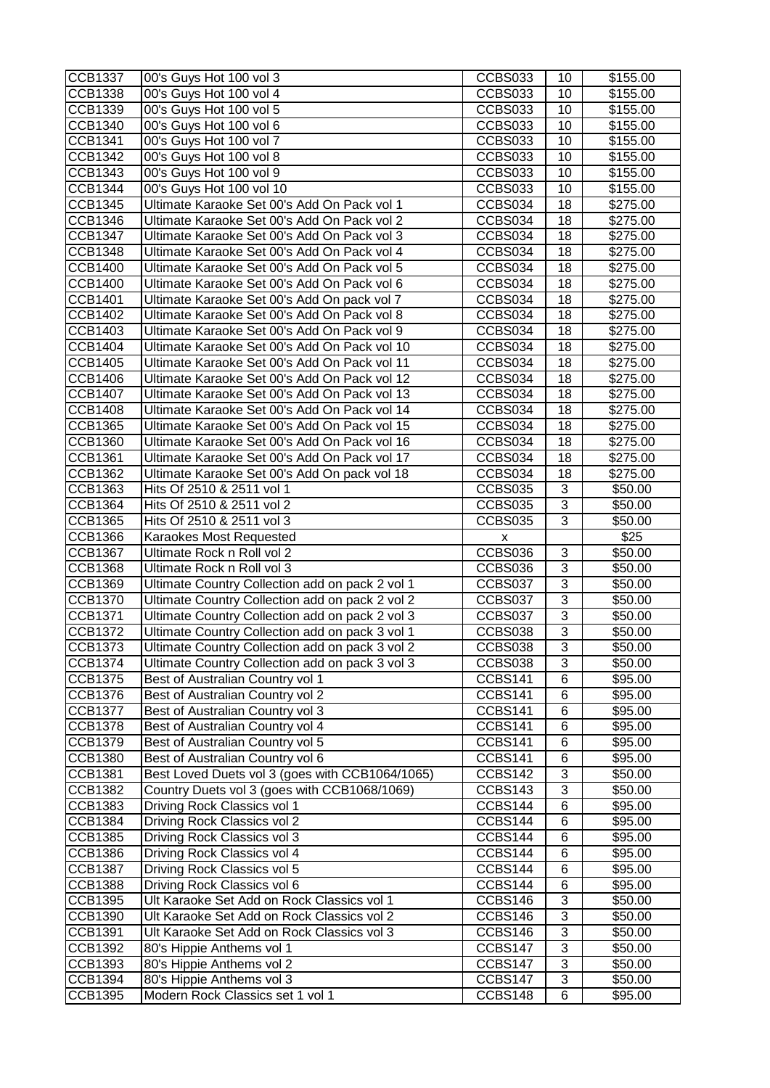| CCB1337        | 00's Guys Hot 100 vol 3                         | CCBS033 | 10              | \$155.00         |
|----------------|-------------------------------------------------|---------|-----------------|------------------|
| <b>CCB1338</b> | 00's Guys Hot 100 vol 4                         | CCBS033 | 10              | \$155.00         |
| CCB1339        | 00's Guys Hot 100 vol 5                         | CCBS033 | 10              | \$155.00         |
| <b>CCB1340</b> | 00's Guys Hot 100 vol 6                         | CCBS033 | 10              | \$155.00         |
| <b>CCB1341</b> | 00's Guys Hot 100 vol 7                         | CCBS033 | 10              | \$155.00         |
| CCB1342        | 00's Guys Hot 100 vol 8                         | CCBS033 | 10              | \$155.00         |
| CCB1343        | 00's Guys Hot 100 vol 9                         | CCBS033 | 10              | \$155.00         |
| CCB1344        | 00's Guys Hot 100 vol 10                        | CCBS033 | 10              | \$155.00         |
| CCB1345        | Ultimate Karaoke Set 00's Add On Pack vol 1     | CCBS034 | 18              | \$275.00         |
| <b>CCB1346</b> | Ultimate Karaoke Set 00's Add On Pack vol 2     | CCBS034 | 18              | \$275.00         |
| <b>CCB1347</b> | Ultimate Karaoke Set 00's Add On Pack vol 3     | CCBS034 | 18              | \$275.00         |
| <b>CCB1348</b> | Ultimate Karaoke Set 00's Add On Pack vol 4     | CCBS034 | 18              | \$275.00         |
| <b>CCB1400</b> | Ultimate Karaoke Set 00's Add On Pack vol 5     | CCBS034 | 18              | \$275.00         |
| <b>CCB1400</b> | Ultimate Karaoke Set 00's Add On Pack vol 6     | CCBS034 | 18              | \$275.00         |
| CCB1401        | Ultimate Karaoke Set 00's Add On pack vol 7     | CCBS034 | 18              | \$275.00         |
| <b>CCB1402</b> | Ultimate Karaoke Set 00's Add On Pack vol 8     | CCBS034 | 18              | \$275.00         |
| CCB1403        | Ultimate Karaoke Set 00's Add On Pack vol 9     | CCBS034 | 18              | \$275.00         |
| <b>CCB1404</b> | Ultimate Karaoke Set 00's Add On Pack vol 10    | CCBS034 | $\overline{18}$ | $\sqrt{$275.00}$ |
| <b>CCB1405</b> | Ultimate Karaoke Set 00's Add On Pack vol 11    | CCBS034 | 18              | \$275.00         |
| <b>CCB1406</b> | Ultimate Karaoke Set 00's Add On Pack vol 12    | CCBS034 | 18              | \$275.00         |
| <b>CCB1407</b> | Ultimate Karaoke Set 00's Add On Pack vol 13    | CCBS034 | $\overline{18}$ | \$275.00         |
| <b>CCB1408</b> | Ultimate Karaoke Set 00's Add On Pack vol 14    | CCBS034 | $\overline{18}$ | \$275.00         |
| <b>CCB1365</b> | Ultimate Karaoke Set 00's Add On Pack vol 15    | CCBS034 | 18              | \$275.00         |
| <b>CCB1360</b> | Ultimate Karaoke Set 00's Add On Pack vol 16    | CCBS034 | $\overline{18}$ | \$275.00         |
| CCB1361        | Ultimate Karaoke Set 00's Add On Pack vol 17    | CCBS034 | 18              | \$275.00         |
| <b>CCB1362</b> | Ultimate Karaoke Set 00's Add On pack vol 18    | CCBS034 | 18              | \$275.00         |
| <b>CCB1363</b> | Hits Of 2510 & 2511 vol 1                       | CCBS035 | $\overline{3}$  | \$50.00          |
| <b>CCB1364</b> | Hits Of 2510 & 2511 vol 2                       | CCBS035 | $\overline{3}$  | \$50.00          |
| <b>CCB1365</b> | Hits Of 2510 & 2511 vol 3                       | CCBS035 | $\overline{3}$  | \$50.00          |
| <b>CCB1366</b> | Karaokes Most Requested                         | X       |                 | \$25             |
| <b>CCB1367</b> | Ultimate Rock n Roll vol 2                      | CCBS036 | 3               | \$50.00          |
| <b>CCB1368</b> | Ultimate Rock n Roll vol 3                      | CCBS036 | 3               | \$50.00          |
| <b>CCB1369</b> | Ultimate Country Collection add on pack 2 vol 1 | CCBS037 | 3               | \$50.00          |
| <b>CCB1370</b> | Ultimate Country Collection add on pack 2 vol 2 | CCBS037 | $\overline{3}$  | \$50.00          |
| <b>CCB1371</b> | Ultimate Country Collection add on pack 2 vol 3 | CCBS037 | $\overline{3}$  | \$50.00          |
| <b>CCB1372</b> | Ultimate Country Collection add on pack 3 vol 1 | CCBS038 | $\overline{3}$  | \$50.00          |
| <b>CCB1373</b> | Ultimate Country Collection add on pack 3 vol 2 | CCBS038 | $\overline{3}$  | \$50.00          |
| <b>CCB1374</b> | Ultimate Country Collection add on pack 3 vol 3 | CCBS038 | 3               | \$50.00          |
| CCB1375        | Best of Australian Country vol 1                | CCBS141 | 6               | \$95.00          |
| <b>CCB1376</b> | Best of Australian Country vol 2                | CCBS141 | 6               | \$95.00          |
| <b>CCB1377</b> | Best of Australian Country vol 3                | CCBS141 | 6               | \$95.00          |
| <b>CCB1378</b> | Best of Australian Country vol 4                | CCBS141 | $6\phantom{1}6$ | \$95.00          |
| <b>CCB1379</b> | Best of Australian Country vol 5                | CCBS141 | 6               | \$95.00          |
| <b>CCB1380</b> | Best of Australian Country vol 6                | CCBS141 | 6               | \$95.00          |
| <b>CCB1381</b> | Best Loved Duets vol 3 (goes with CCB1064/1065) | CCBS142 | 3               | \$50.00          |
| <b>CCB1382</b> | Country Duets vol 3 (goes with CCB1068/1069)    | CCBS143 | 3               | \$50.00          |
| <b>CCB1383</b> | Driving Rock Classics vol 1                     | CCBS144 | $\overline{6}$  | \$95.00          |
| <b>CCB1384</b> | Driving Rock Classics vol 2                     | CCBS144 | 6               | \$95.00          |
| <b>CCB1385</b> | Driving Rock Classics vol 3                     | CCBS144 | 6               | \$95.00          |
| <b>CCB1386</b> | Driving Rock Classics vol 4                     | CCBS144 | 6               | \$95.00          |
| <b>CCB1387</b> | Driving Rock Classics vol 5                     | CCBS144 | 6               | \$95.00          |
| <b>CCB1388</b> | Driving Rock Classics vol 6                     | CCBS144 | 6               | \$95.00          |
| <b>CCB1395</b> | Ult Karaoke Set Add on Rock Classics vol 1      | CCBS146 | 3               | \$50.00          |
| <b>CCB1390</b> | Ult Karaoke Set Add on Rock Classics vol 2      | CCBS146 | $\overline{3}$  | \$50.00          |
| CCB1391        | Ult Karaoke Set Add on Rock Classics vol 3      | CCBS146 | 3               | \$50.00          |
| <b>CCB1392</b> | 80's Hippie Anthems vol 1                       | CCBS147 | 3               | \$50.00          |
| CCB1393        | 80's Hippie Anthems vol 2                       | CCBS147 | 3               | \$50.00          |
| <b>CCB1394</b> | 80's Hippie Anthems vol 3                       | CCBS147 | 3               | \$50.00          |
| <b>CCB1395</b> | Modern Rock Classics set 1 vol 1                | CCBS148 | 6               | \$95.00          |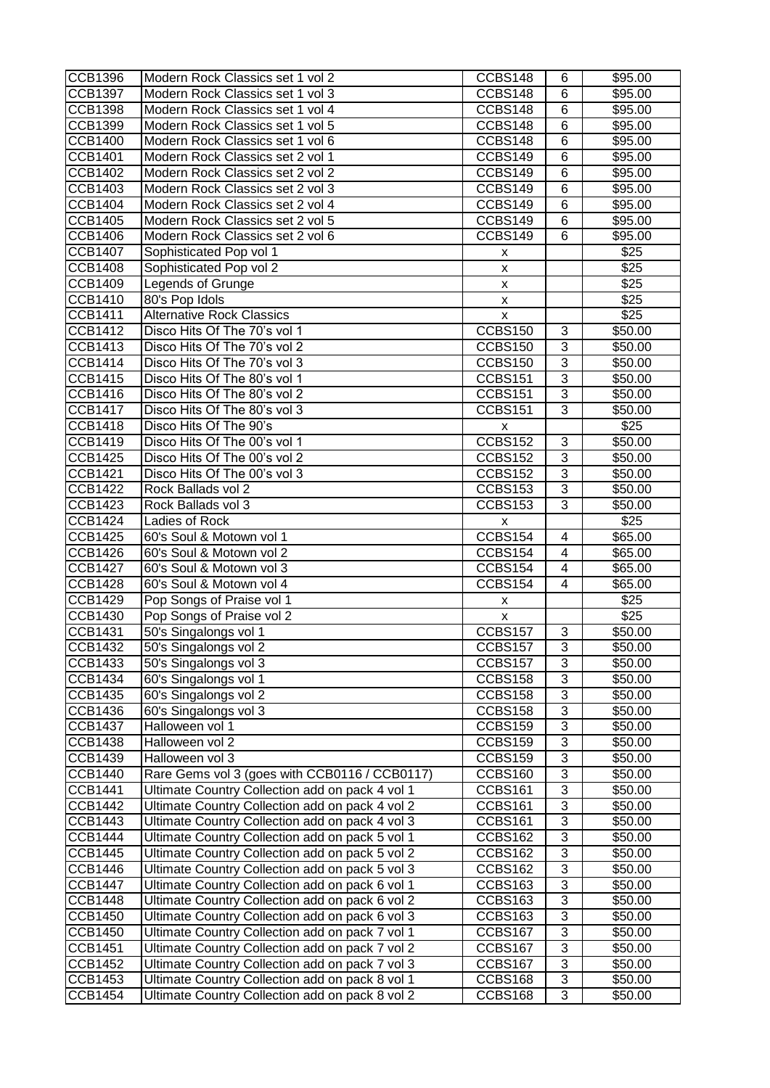| <b>CCB1396</b>       | Modern Rock Classics set 1 vol 2                | CCBS148        | 6                         | \$95.00 |
|----------------------|-------------------------------------------------|----------------|---------------------------|---------|
| <b>CCB1397</b>       | Modern Rock Classics set 1 vol 3                | CCBS148        | 6                         | \$95.00 |
| <b>CCB1398</b>       | Modern Rock Classics set 1 vol 4                | CCBS148        | 6                         | \$95.00 |
| <b>CCB1399</b>       | Modern Rock Classics set 1 vol 5                | CCBS148        | 6                         | \$95.00 |
| <b>CCB1400</b>       | Modern Rock Classics set 1 vol 6                | CCBS148        | $6\phantom{1}6$           | \$95.00 |
| <b>CCB1401</b>       | Modern Rock Classics set 2 vol 1                | CCBS149        | $6\phantom{1}6$           | \$95.00 |
| <b>CCB1402</b>       | Modern Rock Classics set 2 vol 2                | CCBS149        | $\overline{6}$            | \$95.00 |
| CCB1403              | Modern Rock Classics set 2 vol 3                | CCBS149        | $6\phantom{1}6$           | \$95.00 |
| <b>CCB1404</b>       | Modern Rock Classics set 2 vol 4                | CCBS149        | 6                         | \$95.00 |
| <b>CCB1405</b>       | Modern Rock Classics set 2 vol 5                | CCBS149        | 6                         | \$95.00 |
| CCB1406              | Modern Rock Classics set 2 vol 6                | CCBS149        | 6                         | \$95.00 |
| <b>CCB1407</b>       |                                                 |                |                           |         |
|                      | Sophisticated Pop vol 1                         | $\mathsf{x}$   |                           | \$25    |
| <b>CCB1408</b>       | Sophisticated Pop vol 2                         | X              |                           | \$25    |
| <b>CCB1409</b>       | Legends of Grunge                               | X              |                           | \$25    |
| <b>CCB1410</b>       | 80's Pop Idols                                  | $\mathsf{x}$   |                           | \$25    |
| <b>CCB1411</b>       | <b>Alternative Rock Classics</b>                | $\mathsf{x}$   |                           | \$25    |
| <b>CCB1412</b>       | Disco Hits Of The 70's vol 1                    | CCBS150        | 3                         | \$50.00 |
| $\overline{CCB14}13$ | Disco Hits Of The 70's vol 2                    | <b>CCBS150</b> | $\overline{3}$            | \$50.00 |
| $\overline{CCB14}14$ | Disco Hits Of The 70's vol 3                    | <b>CCBS150</b> | $\overline{3}$            | \$50.00 |
| <b>CCB1415</b>       | Disco Hits Of The 80's vol 1                    | CCBS151        | $\overline{3}$            | \$50.00 |
| $\overline{CCB14}16$ | Disco Hits Of The 80's vol 2                    | CCBS151        | 3                         | \$50.00 |
| <b>CCB1417</b>       | Disco Hits Of The 80's vol 3                    | CCBS151        | 3                         | \$50.00 |
| <b>CCB1418</b>       | Disco Hits Of The 90's                          | x              |                           | \$25    |
| <b>CCB1419</b>       | Disco Hits Of The 00's vol 1                    | <b>CCBS152</b> | 3                         | \$50.00 |
| <b>CCB1425</b>       | Disco Hits Of The 00's vol 2                    | CCBS152        | $\overline{3}$            | \$50.00 |
| <b>CCB1421</b>       | Disco Hits Of The 00's vol 3                    | CCBS152        | $\overline{3}$            | \$50.00 |
| <b>CCB1422</b>       | Rock Ballads vol 2                              | CCBS153        | $\overline{3}$            | \$50.00 |
| <b>CCB1423</b>       | Rock Ballads vol 3                              | CCBS153        | $\overline{3}$            | \$50.00 |
| <b>CCB1424</b>       | Ladies of Rock                                  | X              |                           | \$25    |
| <b>CCB1425</b>       | 60's Soul & Motown vol 1                        | <b>CCBS154</b> | 4                         | \$65.00 |
| <b>CCB1426</b>       | 60's Soul & Motown vol 2                        | CCBS154        | $\overline{4}$            | \$65.00 |
| <b>CCB1427</b>       | 60's Soul & Motown vol 3                        | CCBS154        | 4                         | \$65.00 |
| <b>CCB1428</b>       | 60's Soul & Motown vol 4                        | CCBS154        | 4                         | \$65.00 |
| <b>CCB1429</b>       | Pop Songs of Praise vol 1                       | X              |                           | \$25    |
| CCB1430              | Pop Songs of Praise vol 2                       | $\mathsf{x}$   |                           | \$25    |
| <b>CCB1431</b>       |                                                 | <b>CCBS157</b> | 3                         | \$50.00 |
|                      | 50's Singalongs vol 1                           |                |                           |         |
| $\overline{CCB14}32$ | 50's Singalongs vol 2                           | CCBS157        | 3                         | \$50.00 |
| CCB1433              | 50's Singalongs vol 3                           | CCBS157        | 3                         | \$50.00 |
| <b>CCB1434</b>       | 60's Singalongs vol 1                           | CCBS158        | 3                         | \$50.00 |
| <b>CCB1435</b>       | 60's Singalongs vol 2                           | CCBS158        | 3                         | \$50.00 |
| CCB1436              | 60's Singalongs vol 3                           | CCBS158        | $\ensuremath{\mathsf{3}}$ | \$50.00 |
| <b>CCB1437</b>       | Halloween vol 1                                 | CCBS159        | $\overline{3}$            | \$50.00 |
| CCB1438              | Halloween vol 2                                 | CCBS159        | 3                         | \$50.00 |
| CCB1439              | Halloween vol 3                                 | CCBS159        | $\ensuremath{\mathsf{3}}$ | \$50.00 |
| <b>CCB1440</b>       | Rare Gems vol 3 (goes with CCB0116 / CCB0117)   | CCBS160        | $\overline{3}$            | \$50.00 |
| <b>CCB1441</b>       | Ultimate Country Collection add on pack 4 vol 1 | CCBS161        | 3                         | \$50.00 |
| <b>CCB1442</b>       | Ultimate Country Collection add on pack 4 vol 2 | CCBS161        | 3                         | \$50.00 |
| <b>CCB1443</b>       | Ultimate Country Collection add on pack 4 vol 3 | CCBS161        | $\overline{3}$            | \$50.00 |
| <b>CCB1444</b>       | Ultimate Country Collection add on pack 5 vol 1 | CCBS162        | 3                         | \$50.00 |
| <b>CCB1445</b>       | Ultimate Country Collection add on pack 5 vol 2 | CCBS162        | 3                         | \$50.00 |
| <b>CCB1446</b>       | Ultimate Country Collection add on pack 5 vol 3 | CCBS162        | 3                         | \$50.00 |
| <b>CCB1447</b>       | Ultimate Country Collection add on pack 6 vol 1 | CCBS163        | 3                         | \$50.00 |
| <b>CCB1448</b>       | Ultimate Country Collection add on pack 6 vol 2 | CCBS163        | $\ensuremath{\mathsf{3}}$ | \$50.00 |
| CCB1450              | Ultimate Country Collection add on pack 6 vol 3 | CCBS163        | 3                         | \$50.00 |
| CCB1450              | Ultimate Country Collection add on pack 7 vol 1 | CCBS167        | 3                         | \$50.00 |
| CCB1451              | Ultimate Country Collection add on pack 7 vol 2 | CCBS167        | 3                         | \$50.00 |
| CCB1452              | Ultimate Country Collection add on pack 7 vol 3 | CCBS167        | 3                         | \$50.00 |
| CCB1453              | Ultimate Country Collection add on pack 8 vol 1 | CCBS168        | 3                         | \$50.00 |
| <b>CCB1454</b>       | Ultimate Country Collection add on pack 8 vol 2 | CCBS168        | 3                         | \$50.00 |
|                      |                                                 |                |                           |         |